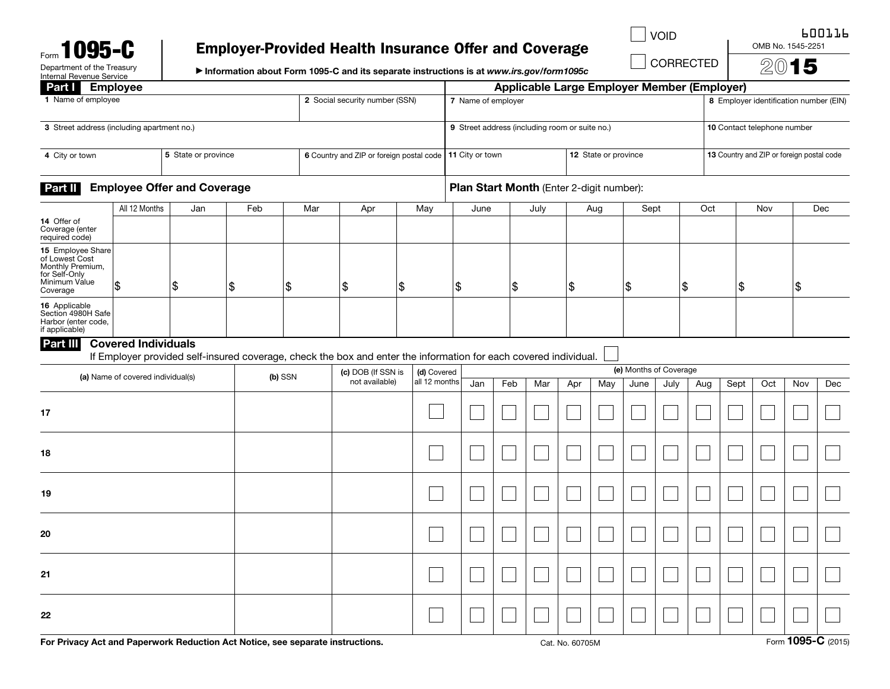|  | Form <b>1095</b>           |  |
|--|----------------------------|--|
|  | Department of the Treasury |  |

# Employer-Provided Health Insurance Offer and Coverage

CORRECTED

VOID CONTROL BOOTTP

OMB No. 1545-2251 2015

▶ Information about Form 1095-C and its separate instructions is at *www.irs.gov/form1095c*

| Internal Revenue Service                                                                              |                            |     |     |     | mondaton about I only 1000 0 and its separate modelous is at www.asgornomized                                    |                        |      |                 |                                                    |                                        |     |                      |      |     |                                           | $\overline{\phantom{0}}$ |       |     |  |
|-------------------------------------------------------------------------------------------------------|----------------------------|-----|-----|-----|------------------------------------------------------------------------------------------------------------------|------------------------|------|-----------------|----------------------------------------------------|----------------------------------------|-----|----------------------|------|-----|-------------------------------------------|--------------------------|-------|-----|--|
| Part Employee                                                                                         |                            |     |     |     |                                                                                                                  |                        |      |                 | <b>Applicable Large Employer Member (Employer)</b> |                                        |     |                      |      |     |                                           |                          |       |     |  |
| 1 Name of employee<br>2 Social security number (SSN)                                                  |                            |     |     |     |                                                                                                                  | 7 Name of employer     |      |                 |                                                    | 8 Employer identification number (EIN) |     |                      |      |     |                                           |                          |       |     |  |
| 3 Street address (including apartment no.)                                                            |                            |     |     |     | 9 Street address (including room or suite no.)<br>10 Contact telephone number                                    |                        |      |                 |                                                    |                                        |     |                      |      |     |                                           |                          |       |     |  |
| 5 State or province<br>4 City or town                                                                 |                            |     |     |     | 6 Country and ZIP or foreign postal code                                                                         |                        |      | 11 City or town |                                                    |                                        |     | 12 State or province |      |     | 13 Country and ZIP or foreign postal code |                          |       |     |  |
| <b>Employee Offer and Coverage</b><br>Part II                                                         |                            |     |     |     | Plan Start Month (Enter 2-digit number):                                                                         |                        |      |                 |                                                    |                                        |     |                      |      |     |                                           |                          |       |     |  |
|                                                                                                       | All 12 Months              | Jan | Feb | Mar | Apr                                                                                                              | May                    | June |                 | July                                               | Aug                                    |     | Sept                 |      | Oct |                                           | Nov                      |       | Dec |  |
| 14 Offer of<br>Coverage (enter<br>required code)                                                      |                            |     |     |     |                                                                                                                  |                        |      |                 |                                                    |                                        |     |                      |      |     |                                           |                          |       |     |  |
| 15 Employee Share<br>of Lowest Cost<br>Monthly Premium,<br>for Self-Only<br>Minimum Value<br>Coverage | 1\$                        | \$  | \$  | \$  | \$                                                                                                               | \$                     | \$   | \$              |                                                    | \$                                     |     | \$                   |      | \$  | $\frac{1}{2}$                             |                          | \$    |     |  |
| 16 Applicable<br>Section 4980H Safe<br>Harbor (enter code,<br>if applicable)                          |                            |     |     |     |                                                                                                                  |                        |      |                 |                                                    |                                        |     |                      |      |     |                                           |                          |       |     |  |
| Part III                                                                                              | <b>Covered Individuals</b> |     |     |     |                                                                                                                  |                        |      |                 |                                                    |                                        |     |                      |      |     |                                           |                          |       |     |  |
|                                                                                                       |                            |     |     |     | If Employer provided self-insured coverage, check the box and enter the information for each covered individual. |                        |      |                 |                                                    |                                        |     |                      |      |     |                                           |                          |       |     |  |
| (c) DOB (If SSN is<br>(a) Name of covered individual(s)<br>(b) SSN                                    |                            |     |     |     | (d) Covered                                                                                                      | (e) Months of Coverage |      |                 |                                                    |                                        |     |                      |      |     |                                           |                          |       |     |  |
|                                                                                                       |                            |     |     |     | not available)                                                                                                   | all 12 months          | Jan  | Feb             | Mar                                                | Apr                                    | May | June                 | July | Aug | Sept                                      | Oct                      | Nov   | Dec |  |
| 17                                                                                                    |                            |     |     |     |                                                                                                                  |                        |      |                 |                                                    |                                        |     |                      |      |     |                                           |                          |       |     |  |
| 18                                                                                                    |                            |     |     |     |                                                                                                                  |                        |      |                 |                                                    |                                        |     |                      |      |     |                                           |                          |       |     |  |
| 19                                                                                                    |                            |     |     |     |                                                                                                                  |                        |      |                 |                                                    |                                        |     |                      |      |     |                                           |                          |       |     |  |
| 20                                                                                                    |                            |     |     |     |                                                                                                                  |                        |      |                 |                                                    |                                        |     |                      |      |     |                                           |                          |       |     |  |
| 21                                                                                                    |                            |     |     |     |                                                                                                                  |                        |      |                 |                                                    |                                        |     |                      |      |     |                                           |                          |       |     |  |
| 22                                                                                                    |                            |     |     |     |                                                                                                                  |                        |      |                 |                                                    |                                        |     |                      |      |     |                                           |                          | - ההו |     |  |

For Privacy Act and Paperwork Reduction Act Notice, see separate instructions. Cat. No. 60705M Cat. No. 60705M Form 1095-C (2015)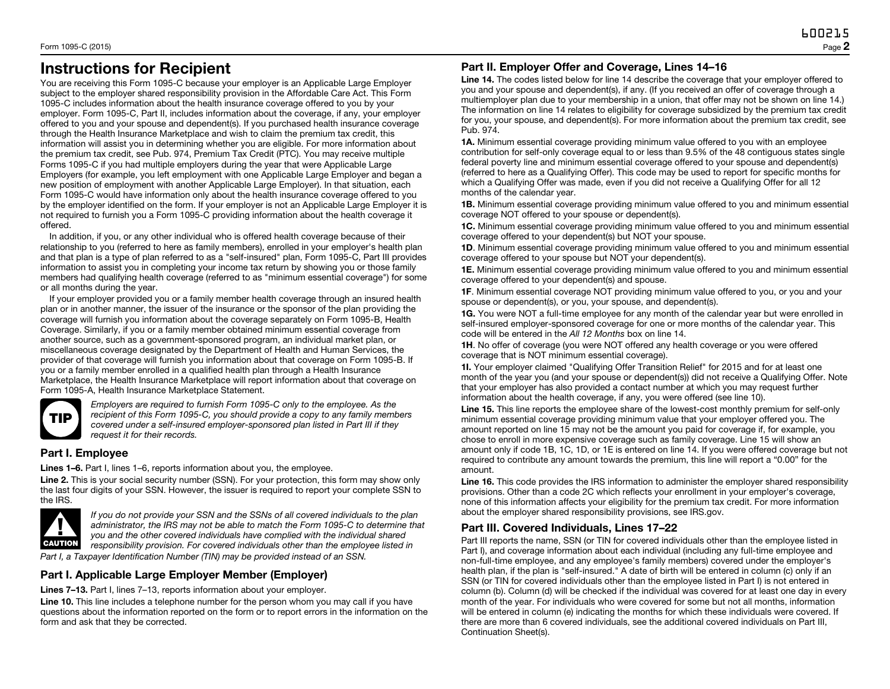## Instructions for Recipient

You are receiving this Form 1095-C because your employer is an Applicable Large Employer subject to the employer shared responsibility provision in the Affordable Care Act. This Form 1095-C includes information about the health insurance coverage offered to you by your employer. Form 1095-C, Part II, includes information about the coverage, if any, your employer offered to you and your spouse and dependent(s). If you purchased health insurance coverage through the Health Insurance Marketplace and wish to claim the premium tax credit, this information will assist you in determining whether you are eligible. For more information about the premium tax credit, see Pub. 974, Premium Tax Credit (PTC). You may receive multiple Forms 1095-C if you had multiple employers during the year that were Applicable Large Employers (for example, you left employment with one Applicable Large Employer and began a new position of employment with another Applicable Large Employer). In that situation, each Form 1095-C would have information only about the health insurance coverage offered to you by the employer identified on the form. If your employer is not an Applicable Large Employer it is not required to furnish you a Form 1095-C providing information about the health coverage it offered.

In addition, if you, or any other individual who is offered health coverage because of their relationship to you (referred to here as family members), enrolled in your employer's health plan and that plan is a type of plan referred to as a "self-insured" plan, Form 1095-C, Part III provides information to assist you in completing your income tax return by showing you or those family members had qualifying health coverage (referred to as "minimum essential coverage") for some or all months during the year.

If your employer provided you or a family member health coverage through an insured health plan or in another manner, the issuer of the insurance or the sponsor of the plan providing the coverage will furnish you information about the coverage separately on Form 1095-B, Health Coverage. Similarly, if you or a family member obtained minimum essential coverage from another source, such as a government-sponsored program, an individual market plan, or miscellaneous coverage designated by the Department of Health and Human Services, the provider of that coverage will furnish you information about that coverage on Form 1095-B. If you or a family member enrolled in a qualified health plan through a Health Insurance Marketplace, the Health Insurance Marketplace will report information about that coverage on Form 1095-A, Health Insurance Marketplace Statement.



*Employers are required to furnish Form 1095-C only to the employee. As the recipient of this Form 1095-C, you should provide a copy to any family members covered under a self-insured employer-sponsored plan listed in Part III if they request it for their records.*

#### Part I. Employee

Lines 1–6. Part I, lines 1–6, reports information about you, the employee.

Line 2. This is your social security number (SSN). For your protection, this form may show only the last four digits of your SSN. However, the issuer is required to report your complete SSN to the IRS.



*If you do not provide your SSN and the SSNs of all covered individuals to the plan administrator, the IRS may not be able to match the Form 1095-C to determine that you and the other covered individuals have complied with the individual shared responsibility provision. For covered individuals other than the employee listed in Part I, a Taxpayer Identification Number (TIN) may be provided instead of an SSN.*

#### Part I. Applicable Large Employer Member (Employer)

Lines 7–13. Part I, lines 7–13, reports information about your employer.

Line 10. This line includes a telephone number for the person whom you may call if you have questions about the information reported on the form or to report errors in the information on the form and ask that they be corrected.

#### Part II. Employer Offer and Coverage, Lines 14–16

Line 14. The codes listed below for line 14 describe the coverage that your employer offered to you and your spouse and dependent(s), if any. (If you received an offer of coverage through a multiemployer plan due to your membership in a union, that offer may not be shown on line 14.) The information on line 14 relates to eligibility for coverage subsidized by the premium tax credit for you, your spouse, and dependent(s). For more information about the premium tax credit, see Pub. 974.

1A. Minimum essential coverage providing minimum value offered to you with an employee contribution for self-only coverage equal to or less than 9.5% of the 48 contiguous states single federal poverty line and minimum essential coverage offered to your spouse and dependent(s) (referred to here as a Qualifying Offer). This code may be used to report for specific months for which a Qualifying Offer was made, even if you did not receive a Qualifying Offer for all 12 months of the calendar year.

1B. Minimum essential coverage providing minimum value offered to you and minimum essential coverage NOT offered to your spouse or dependent(s).

1C. Minimum essential coverage providing minimum value offered to you and minimum essential coverage offered to your dependent(s) but NOT your spouse.

1D. Minimum essential coverage providing minimum value offered to you and minimum essential coverage offered to your spouse but NOT your dependent(s).

1E. Minimum essential coverage providing minimum value offered to you and minimum essential coverage offered to your dependent(s) and spouse.

1F. Minimum essential coverage NOT providing minimum value offered to you, or you and your spouse or dependent(s), or you, your spouse, and dependent(s).

1G. You were NOT a full-time employee for any month of the calendar year but were enrolled in self-insured employer-sponsored coverage for one or more months of the calendar year. This code will be entered in the *All 12 Months* box on line 14.

1H. No offer of coverage (you were NOT offered any health coverage or you were offered coverage that is NOT minimum essential coverage).

1I. Your employer claimed "Qualifying Offer Transition Relief" for 2015 and for at least one month of the year you (and your spouse or dependent(s)) did not receive a Qualifying Offer. Note that your employer has also provided a contact number at which you may request further information about the health coverage, if any, you were offered (see line 10).

Line 15. This line reports the employee share of the lowest-cost monthly premium for self-only minimum essential coverage providing minimum value that your employer offered you. The amount reported on line 15 may not be the amount you paid for coverage if, for example, you chose to enroll in more expensive coverage such as family coverage. Line 15 will show an amount only if code 1B, 1C, 1D, or 1E is entered on line 14. If you were offered coverage but not required to contribute any amount towards the premium, this line will report a "0.00" for the amount.

Line 16. This code provides the IRS information to administer the employer shared responsibility provisions. Other than a code 2C which reflects your enrollment in your employer's coverage, none of this information affects your eligibility for the premium tax credit. For more information about the employer shared responsibility provisions, see IRS.gov.

### Part III. Covered Individuals, Lines 17–22

Part III reports the name, SSN (or TIN for covered individuals other than the employee listed in Part I), and coverage information about each individual (including any full-time employee and non-full-time employee, and any employee's family members) covered under the employer's health plan, if the plan is "self-insured." A date of birth will be entered in column (c) only if an SSN (or TIN for covered individuals other than the employee listed in Part I) is not entered in column (b). Column (d) will be checked if the individual was covered for at least one day in every month of the year. For individuals who were covered for some but not all months, information will be entered in column (e) indicating the months for which these individuals were covered. If there are more than 6 covered individuals, see the additional covered individuals on Part III, Continuation Sheet(s).